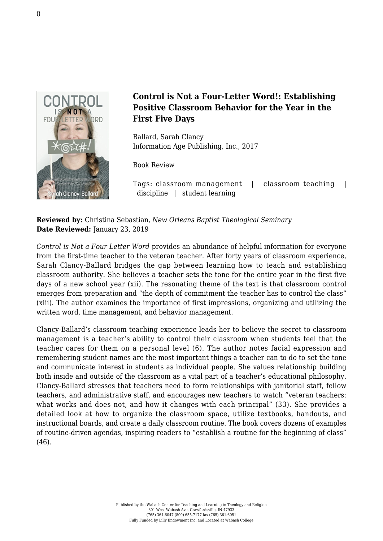

## **Control is Not a Four-Letter Word!: Establishing Positive Classroom Behavior for the Year in the First Five Days**

Ballard, Sarah Clancy [Information Age Publishing, Inc., 2017](http://www.infoagepub.com/products/Control-is-Not-a-Four-Letter-Word)

Book Review

Tags: classroom management | classroom teaching | discipline | student learning

**Reviewed by:** Christina Sebastian, *New Orleans Baptist Theological Seminary* **Date Reviewed:** January 23, 2019

*Control is Not a Four Letter Word* provides an abundance of helpful information for everyone from the first-time teacher to the veteran teacher. After forty years of classroom experience, Sarah Clancy-Ballard bridges the gap between learning how to teach and establishing classroom authority. She believes a teacher sets the tone for the entire year in the first five days of a new school year (xii). The resonating theme of the text is that classroom control emerges from preparation and "the depth of commitment the teacher has to control the class" (xiii). The author examines the importance of first impressions, organizing and utilizing the written word, time management, and behavior management.

Clancy-Ballard's classroom teaching experience leads her to believe the secret to classroom management is a teacher's ability to control their classroom when students feel that the teacher cares for them on a personal level (6). The author notes facial expression and remembering student names are the most important things a teacher can to do to set the tone and communicate interest in students as individual people. She values relationship building both inside and outside of the classroom as a vital part of a teacher's educational philosophy. Clancy-Ballard stresses that teachers need to form relationships with janitorial staff, fellow teachers, and administrative staff, and encourages new teachers to watch "veteran teachers: what works and does not, and how it changes with each principal" (33). She provides a detailed look at how to organize the classroom space, utilize textbooks, handouts, and instructional boards, and create a daily classroom routine. The book covers dozens of examples of routine-driven agendas, inspiring readers to "establish a routine for the beginning of class" (46).